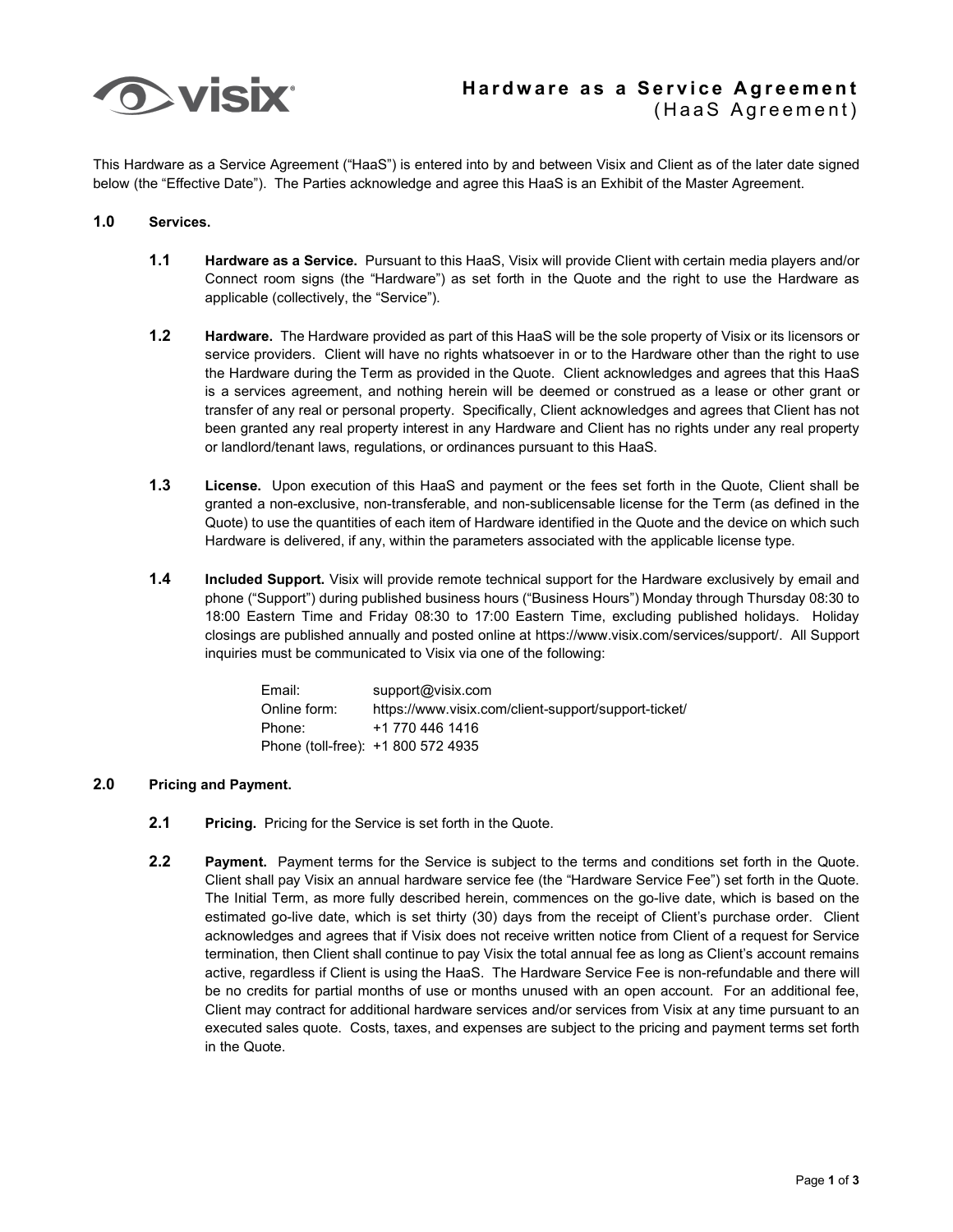

This Hardware as a Service Agreement ("HaaS") is entered into by and between Visix and Client as of the later date signed below (the "Effective Date"). The Parties acknowledge and agree this HaaS is an Exhibit of the Master Agreement.

## **1.0 Services.**

- **1.1 Hardware as a Service.** Pursuant to this HaaS, Visix will provide Client with certain media players and/or Connect room signs (the "Hardware") as set forth in the Quote and the right to use the Hardware as applicable (collectively, the "Service").
- **1.2 Hardware.** The Hardware provided as part of this HaaS will be the sole property of Visix or its licensors or service providers. Client will have no rights whatsoever in or to the Hardware other than the right to use the Hardware during the Term as provided in the Quote. Client acknowledges and agrees that this HaaS is a services agreement, and nothing herein will be deemed or construed as a lease or other grant or transfer of any real or personal property. Specifically, Client acknowledges and agrees that Client has not been granted any real property interest in any Hardware and Client has no rights under any real property or landlord/tenant laws, regulations, or ordinances pursuant to this HaaS.
- **1.3 License.** Upon execution of this HaaS and payment or the fees set forth in the Quote, Client shall be granted a non-exclusive, non-transferable, and non-sublicensable license for the Term (as defined in the Quote) to use the quantities of each item of Hardware identified in the Quote and the device on which such Hardware is delivered, if any, within the parameters associated with the applicable license type.
- **1.4 Included Support.** Visix will provide remote technical support for the Hardware exclusively by email and phone ("Support") during published business hours ("Business Hours") Monday through Thursday 08:30 to 18:00 Eastern Time and Friday 08:30 to 17:00 Eastern Time, excluding published holidays. Holiday closings are published annually and posted online at https://www.visix.com/services/support/. All Support inquiries must be communicated to Visix via one of the following:

| Email:       | support@visix.com                                    |
|--------------|------------------------------------------------------|
| Online form: | https://www.visix.com/client-support/support-ticket/ |
| Phone:       | +1 770 446 1416                                      |
|              | Phone (toll-free): +1 800 572 4935                   |

## **2.0 Pricing and Payment.**

- **2.1 Pricing.** Pricing for the Service is set forth in the Quote.
- **2.2 Payment.** Payment terms for the Service is subject to the terms and conditions set forth in the Quote. Client shall pay Visix an annual hardware service fee (the "Hardware Service Fee") set forth in the Quote. The Initial Term, as more fully described herein, commences on the go-live date, which is based on the estimated go-live date, which is set thirty (30) days from the receipt of Client's purchase order. Client acknowledges and agrees that if Visix does not receive written notice from Client of a request for Service termination, then Client shall continue to pay Visix the total annual fee as long as Client's account remains active, regardless if Client is using the HaaS. The Hardware Service Fee is non-refundable and there will be no credits for partial months of use or months unused with an open account. For an additional fee, Client may contract for additional hardware services and/or services from Visix at any time pursuant to an executed sales quote. Costs, taxes, and expenses are subject to the pricing and payment terms set forth in the Quote.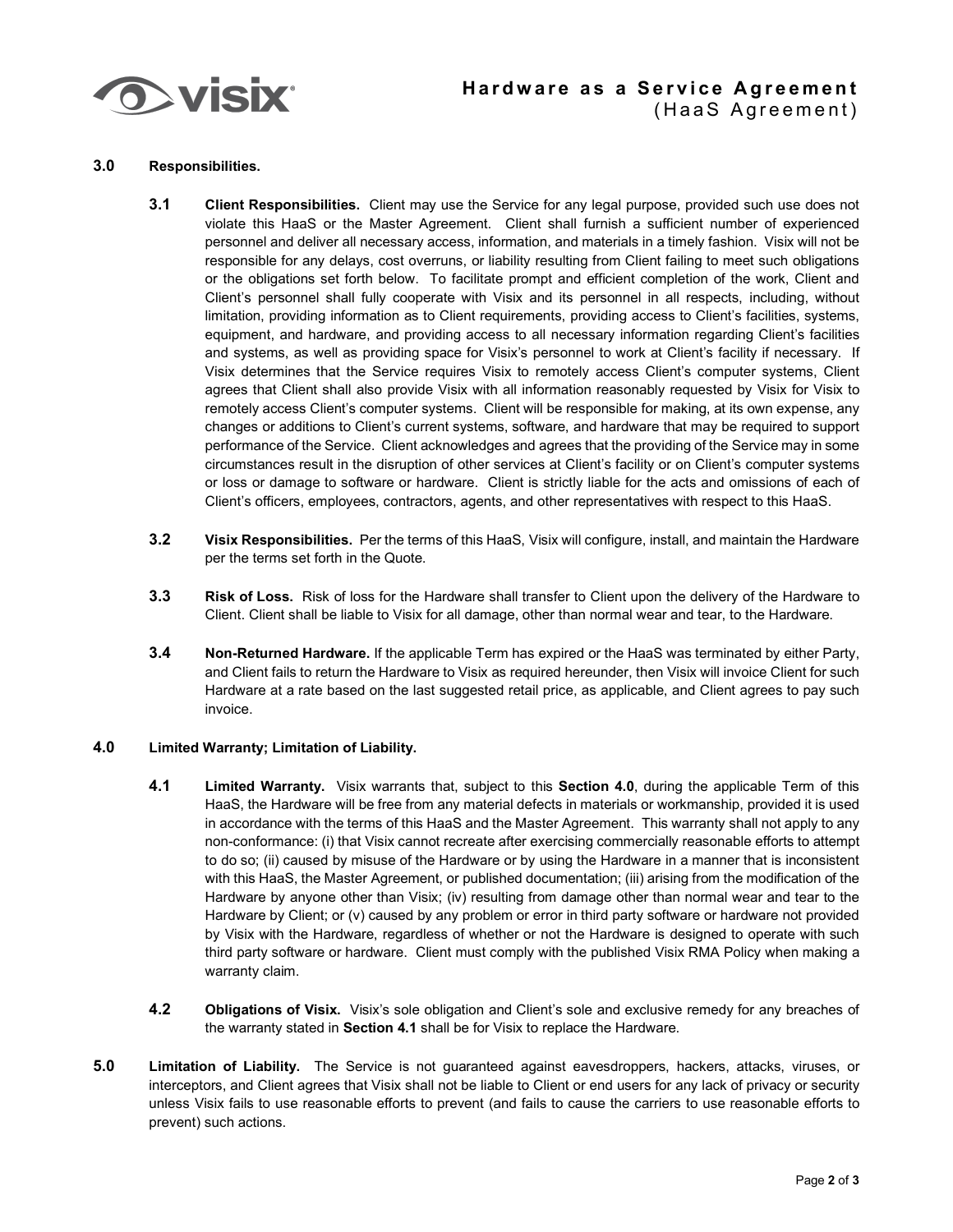

## **Hardware as a Service Agreement** (HaaS Agreement)

#### **3.0 Responsibilities.**

- **3.1 Client Responsibilities.** Client may use the Service for any legal purpose, provided such use does not violate this HaaS or the Master Agreement. Client shall furnish a sufficient number of experienced personnel and deliver all necessary access, information, and materials in a timely fashion. Visix will not be responsible for any delays, cost overruns, or liability resulting from Client failing to meet such obligations or the obligations set forth below. To facilitate prompt and efficient completion of the work, Client and Client's personnel shall fully cooperate with Visix and its personnel in all respects, including, without limitation, providing information as to Client requirements, providing access to Client's facilities, systems, equipment, and hardware, and providing access to all necessary information regarding Client's facilities and systems, as well as providing space for Visix's personnel to work at Client's facility if necessary. If Visix determines that the Service requires Visix to remotely access Client's computer systems, Client agrees that Client shall also provide Visix with all information reasonably requested by Visix for Visix to remotely access Client's computer systems. Client will be responsible for making, at its own expense, any changes or additions to Client's current systems, software, and hardware that may be required to support performance of the Service. Client acknowledges and agrees that the providing of the Service may in some circumstances result in the disruption of other services at Client's facility or on Client's computer systems or loss or damage to software or hardware. Client is strictly liable for the acts and omissions of each of Client's officers, employees, contractors, agents, and other representatives with respect to this HaaS.
- **3.2 Visix Responsibilities.** Per the terms of this HaaS, Visix will configure, install, and maintain the Hardware per the terms set forth in the Quote.
- **3.3 Risk of Loss.** Risk of loss for the Hardware shall transfer to Client upon the delivery of the Hardware to Client. Client shall be liable to Visix for all damage, other than normal wear and tear, to the Hardware.
- **3.4 Non-Returned Hardware.** If the applicable Term has expired or the HaaS was terminated by either Party, and Client fails to return the Hardware to Visix as required hereunder, then Visix will invoice Client for such Hardware at a rate based on the last suggested retail price, as applicable, and Client agrees to pay such invoice.

### **4.0 Limited Warranty; Limitation of Liability.**

- **4.1 Limited Warranty.** Visix warrants that, subject to this **Section 4.0**, during the applicable Term of this HaaS, the Hardware will be free from any material defects in materials or workmanship, provided it is used in accordance with the terms of this HaaS and the Master Agreement. This warranty shall not apply to any non-conformance: (i) that Visix cannot recreate after exercising commercially reasonable efforts to attempt to do so; (ii) caused by misuse of the Hardware or by using the Hardware in a manner that is inconsistent with this HaaS, the Master Agreement, or published documentation; (iii) arising from the modification of the Hardware by anyone other than Visix; (iv) resulting from damage other than normal wear and tear to the Hardware by Client; or (v) caused by any problem or error in third party software or hardware not provided by Visix with the Hardware, regardless of whether or not the Hardware is designed to operate with such third party software or hardware. Client must comply with the published Visix RMA Policy when making a warranty claim.
- **4.2 Obligations of Visix.** Visix's sole obligation and Client's sole and exclusive remedy for any breaches of the warranty stated in **Section 4.1** shall be for Visix to replace the Hardware.
- **5.0 Limitation of Liability.** The Service is not guaranteed against eavesdroppers, hackers, attacks, viruses, or interceptors, and Client agrees that Visix shall not be liable to Client or end users for any lack of privacy or security unless Visix fails to use reasonable efforts to prevent (and fails to cause the carriers to use reasonable efforts to prevent) such actions.